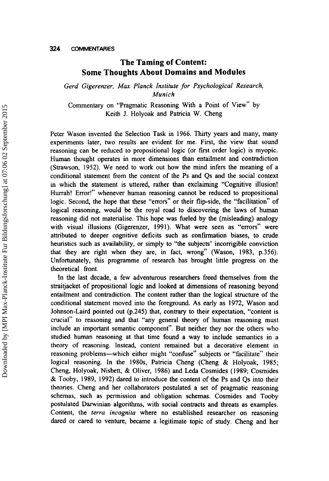# **The Taming of Content: Some Thoughts About Domains and Modules**

*Gerd Gigerenzer, Max Planck Institute for Psychological Research, Munich* 

Commentary on "Pragmatic Reasoning With a Point of View" by Keith J. Holyoak and Patricia W. Cheng

Peter Wason invented the Selection Task in 1966. Thirty years and many, many experiments later, two results are evident for me. First, the view that sound reasoning can be reduced to propositional logic (or first order logic) is myopic. Human thought operates in more dimensions than entailment and contradiction (Strawson, 1952). We need to work out how the mind infers the meaning of a conditional statement from the content of the Ps and Qs and the social context in which the statement is uttered, rather than exclaiming "Cognitive illusion! Hurrah! Error!" whenever human reasoning cannot be reduced to propositional logic. Second, the hope that these "errors" or their flip-side, the "facilitation" of logical reasoning, would be the royal road to discovering the laws of human reasoning did not materialise. This hope was heled by the (misleading) analogy with visual illusions (Gigerenzer, 1991). What were seen as "errors" were attributed to deeper cognitive deficits such as confirmation biases, to crude heuristics such as availability, or simply to "the subjects' incorrigible conviction that they are right when they are, in fact, wrong" (Wason, 1983, p.356). Unfortunately, this programme of research has brought little progress on the theoretical front.

In the last decade, a few adventurous researchers freed themselves from the straitjacket of propositional logic and looked at dimensions of reasoning beyond entailment and contradiction. The content rather than the logical structure of the conditional statement moved into the foreground. **As** early as 1972, Wason and Johnson-Laird pointed out (p.245) that, contrary to their expectation, "content is crucial" to reasoning and that "any general theory of human reasoning must include an important semantic component". But neither they nor the others who studied human reasoning at that time found a way to include semantics in a theory of reasoning. Instead, content remained but a decorative element in reasoning problems-which either might "confise" subjects or "facilitate" their logical reasoning. In the 1980s, Patricia Cheng (Cheng & Holyoak, 1985; Cheng, Holyoak, Nisbett, & Oliver, 1986) and Leda Cosmides (1989; Cosmides & Tooby, 1989, 1992) dared to introduce the content of the Ps and Qs into their theories. Cheng and her collaborators postulated a set of pragmatic reasoning schemas, such as permission and obligation schemas. Cosmides and Tooby postulated Darwinian algorithms, with social contracts and threats as examples. Content, the *terra incognita* where no established researcher on reasoning dared or cared to venture, became a legitimate topic of study. Cheng and her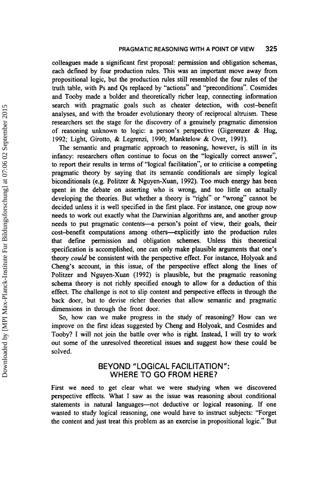colleagues made a significant first proposal: permission and obligation schemas, each defined by four production rules. **This** was an important move away from propositional logic, but the production rules still resembled the four rules of the truth table, with **Ps** and Qs replaced by "actions" and "preconditions". Cosmides and Tooby made a bolder and theoretically richer leap, connecting information search with pragmatic goals such as cheater detection, with cost-benefit analyses, and with the broader evolutionary theory of reciprocal altruism. These researchers set the stage for the discovery of a genuinely pragmatic dimension of reasoning unknown to logic: a person's perspective (Gigerenzer & Hug, 1992; Light, Girotto, & Legrenzi, 1990; Manktelow & Over, 1991).

The semantic and pragmatic approach to reasoning, however, is still in its infancy: researchers often continue to focus on the "logically correct answer", to report their results in terms of "logical facilitation", or to criticise a competing pragmatic theory by saying that its semantic conditionals are simply logical biconditionals (e.g. Politzer & Nguyen-Xuan, 1992). **Too** much energy has been spent in the debate on asserting who is wrong, and too little on actually developing the theories. But whether a theory is "right" or "wrong" cannot be decided unless it is well specified in the first place. For instance, one group now needs to work out exactly what the Darwinian algorithms are, and another group needs to put pragmatic contents-a person's point of view, their goals, their cost-benefit computations among others-explicitly into the production rules that define permission and obligation schemes. Unless **this** theoretical specification is accomplished, one can only make plausible arguments that one's theory could be consistent with the perspective effect. For instance, Holyoak and Cheng's account, in this issue, of the perspective effect along the lines of Politzer and Nguyen-Xuan (1992) is plausible, but the pragmatic reasoning schema theory is not richly specified enough to allow for a deduction of this effect. The challenge is not to slip content and perspective effects in through the back door, but to devise richer theories that allow semantic and pragmatic dimensions in through the front door.

So, how can we make progress in the study of reasoning? How can we improve on the first ideas suggested by Cheng and Holyoak, and Cosmides and Tooby? I will not join the battle over who is right. Instead, I will **try** to work out some of the unresolved theoretical issues and suggest how these could be solved.

## **BEYOND "LOGICAL FACILITATION": WHERE** TO **GO FROM HERE?**

First we need to get clear what we were studying when we discovered perspective effects. What I saw as the issue was reasoning about conditional statements in natural languages—not deductive or logical reasoning. If one wanted to study logical reasoning, one would have to instruct subjects: "Forget the content and just treat this problem as an exercise in propositional logic." But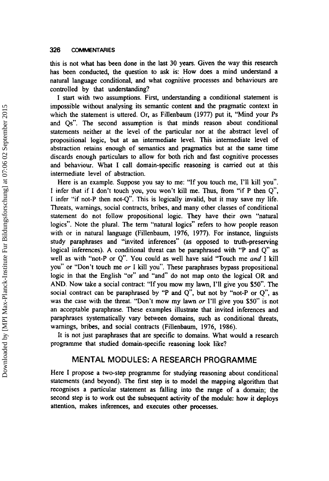#### **326 COMMENTARIES**

this is not what has been done in the last 30 years. Given the way this research has been conducted, the question to ask is: How does a mind understand a natural language conditional, and what cognitive processes and behaviours are controlled by that understanding?

I start with two assumptions. First, understanding a conditional statement is impossible without analysing its semantic content and the pragmatic context in which the statement is uttered. Or, as Fillenbaum (1977) put it, "Mind your Ps and Qs". The second assumption is that minds reason about conditional statements neither at the level of the particular nor at the abstract level of propositional logic, but at an intermediate level. This intermediate level of abstraction retains enough of semantics and pragmatics but at the same time discards enough particulars to allow for both rich and fast cognitive processes and behaviour. What I call domain-specific reasoning is carried out at this intermediate level of abstraction.

Here is an example. Suppose you say to me: "If you touch me, **I'll** kill you". I infer that if I don't touch you, you won't kill me. Thus, from "if P then Q", I infer "if not-P then not-Q". This is logically invalid, but it may save my life. Threats, warnings, social contracts, bribes, and many other classes of conditional statement do not follow propositional logic. They have their own "natural logics". Note the plural. The term "natural logics" refers to how people reason with or in natural language (Fillenbaum, 1976, 1977). For instance, linguists study paraphrases and "invited inferences" (as opposed to truth-preserving logical inferences). A conditional threat can be paraphrased with "P and Q" as well as with "not-P or *Q".* You could as well have said "Touch me *and* I kill you" or "Don't touch me or I kill you". These paraphrases bypass propositional logic in that the English **"or"** and "and" do not map onto the logical OR and AND. Now take a social contract: "If you mow my lawn, **I'll** give you \$50". The social contract can be paraphrased by **"P** and Q", but not by "not-P or Q", as was the case with the threat. "Don't mow my lawn or **I'll** give you \$50" is not an acceptable paraphrase. These examples illustrate that invited inferences and paraphrases systematically vary between domains, such as condtional threats, warnings, bribes, and social contracts (Fillenbaum, 1976, 1986).

It is not just paraphrases that are specific to domains. What would a research programme that studied domain-specific reasoning look like?

## **MENTAL MODULES: A RESEARCH PROGRAMME**

Here I propose a two-step programme for studying reasoning about conditional statements (and beyond). The first step is to model the mapping algorithm that recognises a particular statement as falling into the range of a domain; the second step is to work out the subsequent activity of the module: how it deploys attention, makes inferences, and executes other processes.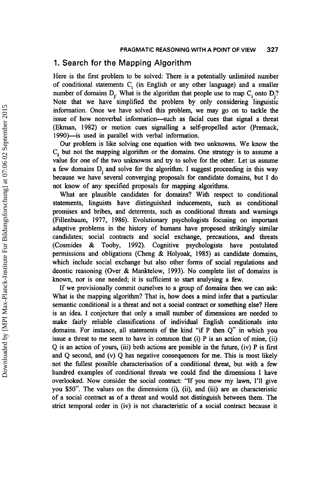#### **1. Search for the Mapping Algorithm**

Here is the first problem to be solved: There is a potentially unlimited number of conditional statements  $C_i$  (in English or any other language) and a smaller number of domains  $D_i$ . What is the algorithm that people use to map  $C_i$  onto  $D_i$ ? Note that we have simplified the problem by only considering linguistic information. Once we have solved this problem, we may go on to tackle the issue of how nonverbal information-such as facial cues that signal a threat (Ekman, 1982) or motion cues signalling a self-propelled actor (Premack, 1990)—is used in parallel with verbal information.

Our problem is like solving one equation with two unknowns. We know the C<sub>i</sub> but not the mapping algorithm or the domains. One strategy is to assume a value for one of the two unknowns and **try** to solve for the other. Let us assume a few domains  $D_i$  and solve for the algorithm. I suggest proceeding in this way because we have several converging proposals for candidate domains, but I do not know of any specified proposals for mapping algorithms.

What are plausible candidates for domains? With respect to conditional statements, linguists have distinguished inducements, such as conditional promises and bribes, and deterrents, such as conditional threats and warnings (Fillenbaum, 1977, 1986). Evolutionary psychologists focusing on important adaptive problems in the history of humans have proposed strikingly similar candidates; social contracts and social exchange, precautions, and threats (Cosmides & Tooby, 1992). Cognitive psychologists have postulated permissions and obligations (Cheng & Holyoak, 1985) as candidate domains, which include social exchange but also other forms of social regulations and deontic reasoning (Over & Manktelow, 1993). No complete list of domains is known, nor is one needed; it is sufficient to **start** analysing a few.

If we provisionally commit ourselves to a group of domains then we can ask: What is the mapping algorithm? That is, how does a mind infer that a particular semantic conditional is a threat and not **a** social contract or something else? Here is an idea. I conjecture that only a small number of dimensions are needed to make fairly reliable classifications of individual English conditionals into domains. For instance, all statements of the kind "if P then Q" in which you issue a threat to me seem to have in common that (i) P is **an** action of mine, (ii) Q is an action of yours, (iii) both actions are possible in the future, (iv) P is first and Q second, and (v) Q has negative consequences for me. This is most likely not the fullest possible characterisation of a conditional threat, but with a few hundred examples of conditional threats we could find the dimensions I have overlooked. Now consider the social contract: "If you mow my lawn, I'll give you \$50". The values on the dimensions (i), (ii), and (iii) are as characteristic of a social contract as of a threat and would not distinguish between them. The strict temporal order in (iv) is not characteristic of a social contract because it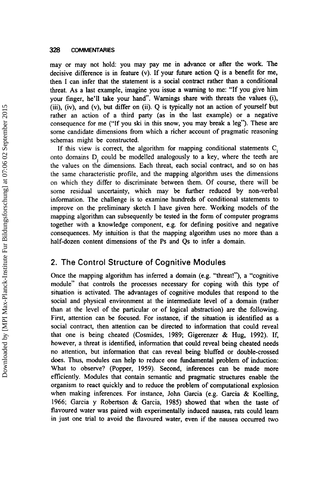#### **328 COMMENTARIES**

may or may not hold: you may pay me in advance or after the work. The decisive difference is in feature (v). If your future action  $Q$  is a benefit for me, then I can infer that the statement is a social contract rather than a conditional threat. **As** a last example, imagine you issue a warning to me: "If you give him your finger, he'll take your hand", Warnings share with threats the values (i), (iii), (iv), and (v), but differ on (ii). Q is typically not an action of yourself but rather an action of a third party (as in the last example) or a negative consequence for me ("If you ski in this snow, you may break a leg"). These are some candidate dimensions from which a richer account of pragmatic reasoning schemas might be constructed.

If this view is correct, the algorithm for mapping conditional statements  $C<sub>i</sub>$ onto domains **D,** could be modelled analogously to a key, where the teeth are the values on the dimensions. Each threat, each social contract, and so on has the same characteristic profile, and the mapping algorithm uses the dimensions on which they differ to discriminate between them. Of course, there will be some residual uncertainty, which may be further reduced by non-verbal information. The challenge is to examine hundreds of conditional statements to improve on the preliminary sketch I have given here. Working models of the mapping algorithm can subsequently be tested in the form of computer programs together with a knowledge component, e.g. for defining positive and negative consequences. My intuition is that the mapping algorithm uses no more than a half-dozen content dimensions of the Ps and Qs to infer a domain.

## **2. The Control Structure of Cognitive Modules**

Once the mapping algorithm has inferred a domain (e.g. "threat!"), a "cognitive module" that controls the processes necessary for coping with this **type** of situation is activated. The advantages of cognitive modules that respond to the social and physical environment at the intermediate level of a domain (rather than at the level of the particular or of logical abstraction) are the following. First, attention can be focused. For instance, if the situation is identified **as a**  social contract, then attention can be directed to information that could reveal that one is being cheated (Cosmides, 1989; Gigerenzer & Hug, 1992). If, however, a threat is identified, information that could reveal being cheated needs no attention, but information that can reveal being bluffed or double-crossed does. Thus, modules can help to reduce one fundamental problem of induction: What to observe? (Popper, 1959). Second, inferences can be made more efficiently. Modules that contain semantic and pragmatic structures enable the organism to react quickly and to reduce the problem of computational explosion when making inferences. For instance, John Garcia (e.g. Garcia & Koelling, 1966; Garcia y Robertson & Garcia, 1985) showed that when the taste of flavoured water was paired with experimentally induced nausea, rats could learn in just one trial to avoid the flavoured water, even if the nausea occurred two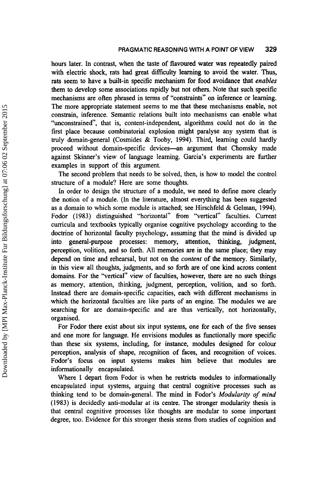hours later. In contrast, when the taste of flavoured water was repeatedly paired with electtic shock, rats **had** great difficulty learning to avoid the water. **Thus, rats** seem to have a built-in specific mechanism for food avoidance that *enables*  them to develop some associations rapidly but not others. Note that such specific mechanisms are often phrased in terms of "constraints" on inference or learning. The more appropriate statement seems to me that these mechanisms enable, not constrain, inference. Semantic relations built into mechanisms can enable what "unconstrained", that is, content-independent, algorithms could not do in the first place because combinatorial explosion might paralyse any system that is truly domain-general (Cosmides & Tooby, **1994).** Third, learning could hardly proceed without domain-specific devices-an argument that Chomsky made against Skinner's view of language learning. Garcia's experiments are further examples in support of this argument.

The second problem that needs to be solved, then, is how to model the control structure of a module? Here are some thoughts.

In order to design the structure of a module, we need to define more clearly the notion of a module. (In the literature, almost everything has been suggested **as** a domain to which some module is attached; see Hirschfeld & Gelman, **1994).**  Fodor (1983) distinguished "horizontal" from "vertical" faculties. Current curricula and textbooks typically organise cognitive psychology according **to** the doctrine of horizontal faculty psychology, assuming that the mind is divided up into general-purpose processes: memory, attention, thinking, judgment, perception, volition, and so forth. All memories are in the same place; they may depend on time and rehearsal, but not on the *content* of the memory. Similarly, in this view all thoughts, judgments, and so forth are of one kind across content domains. For the "vertical" view of faculties, however, there **are** no such things as memory, attention, thinking, judgment, perception, volition, and so forth. Instead there are domain-specific capacities, each with different mechanisms in which the horizontal faculties are like parts of an engine. The modules we are searching for are domain-specific and are thus vertically, not horizontally, organised.

For Fodor there exist about six input systems, one for each of the five senses and one more for language. He envisions modules as functionally more specific than these six systems, including, for instance, modules designed for colour perception, analysis of shape, recognition of faces, and recognition of voices. FOdor's focus on input systems makes him believe that modules are informationally encapsulated.

Where I depart from Fodor is when he restricts modules to informationally encapsulated input systems, arguing that central cognitive processes such as thinking tend to be domain-general. The mind in Fodor's *Modularity of mind*  **(1983)** is decidedly anti-modular at its centre. The stronger modularity thesis is that central cognitive processes like thoughts are modular to some important degree, too. Evidence for this stronger thesis stems from studies of cognition and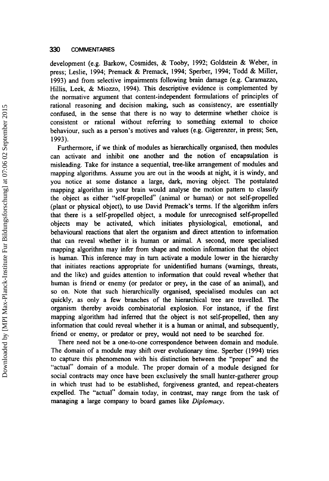development (e.g. Barkow, Cosmides, & Tooby, 1992; Goldstein & Weber, in press; Leslie, 1994; Premack & Premack, 1994; Sperber, 1994; Todd & Miller, 1993) and from selective impairments following brain damage (e.g. Caramazzo, Hillis, Leek, & Miozzo, 1994). This descriptive evidence is complemented by the nonnative argument that content-independent formulations of principles of rational reasoning and decision making, such as consistency, are essentially confused, in the sense that there is no way to determine whether choice is consistent or rational without referring to something external to choice behaviour, such as a person's motives and values (e.g. Gigerenzer, in press; Sen, 1993).

Furthermore, if we think of modules **as** hierarchically organised, then modules can activate and inhibit one another and the notion of encapsulation is misleading. Take for instance a sequential, tree-like arrangement of modules and mapping algorithms. Assume you are out in the woods at night, it is windy, and you notice at some distance a large, dark, moving object. The postulated mapping algorithm in your brain would analyse the motion pattern to classify the object as either "self-propelled" (animal or human) or not self-propelled (plant or physical object), to use David Premack's terms. If the algorithm infers that there is a self-propelled object, a module for unrecognised self-propelled objects may be activated, which initiates physiological, emotional, and behavioural reactions that alert the organism and direct attention to information that can reveal whether it is human or animal. A second, more specialised mapping algorithm may infer from shape and motion information that the object is human. This inference may in turn activate a module lower in the hierarchy that initiates reactions appropriate for unidentified humans (warnings, threats, and the like) and guides attention to information that could reveal whether that human is friend or enemy (or predator or prey, in the case of an animal), and so on. Note that such hierarchically organised, specialised modules can act quickly, **as** only a few branches of the hierarchical tree are travelled. The organism thereby avoids combinatorial explosion. For instance, if the first mapping algorithm had inferred that the object is not self-propelled, then any information that could reveal whether it is a human or animal, and subsequently, friend or enemy, or predator or prey, would not need to be searched for.

There need not be a one-to-one correspondence between domain and module. The domain of a module may shift over evolutionary time. Sperber (1994) tries to capture this phenomenon with his distinction between the "proper" and the "actual" domain of a module. The proper domain of a module designed for social contracts may once have been exclusively the small hunter-gatherer group in which trust had to be established, forgiveness granted, and repeat-cheaters expelled. The "actual" domain today, in contrast, may range from the task of managing **a** large company to board games like *Diplomacy.*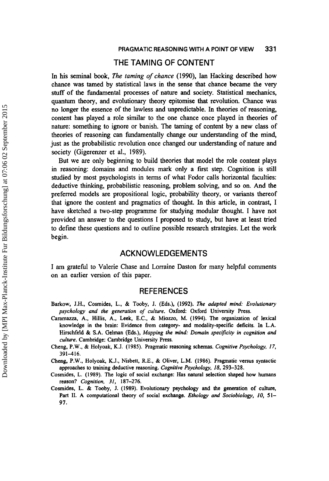## **THE TAMING OF CONTENT**

In his seminal book, *The taming of chance* (1990), Ian Hacking described how chance was tamed by statistical laws in the sense that chance became the very stuff of the fundamental processes of nature and society. Statistical mechanics, quantum theory, and evolutionary theory epitomise that revolution. Chance was no longer the essence of the lawless and unpredictable. In theories of reasoning, content has played a role similar to the one chance once played in theories of nature: something to ignore or banish. The taming of content by a new class of theories of reasoning can fimdamentally change our understanding of the mind, just as the probabilistic revolution once changed our understanding of nature and society (Gigerenzer et al., 1989).

But we are only beginning to build theories that model the role content plays in reasoning: domains and modules mark only a first step. Cognition is still studied by most psychologists in terms of what Fodor calls horizontal faculties: deductive thinking, probabilistic reasoning, problem solving, and so on. And the preferred models are propositional logic, probability theory, or variants thereof that ignore the content and pragmatics of thought. In this article, in contrast, I have sketched a two-step programme for studying modular thought. I have not provided an answer to the questions I proposed to study, but have at least tried to define these questions and to outline possible research strategies. Let the work begin.

### **ACKNOWLEDGEMENTS**

I am grateful to Valerie Chase and Lorraine Daston for many helpful comments on **an** earlier version of this paper.

## **REFERENCES**

- **Barkow, J.H., Cosmides, L.,** & **Tooby, J. (Eds.), (1992).** *The adapted mind: Evolutionary psychology and the generation of culture.* **Oxford Oxford University Press.**
- Caramazza, A., Hillis, A., Leek, E.C., & Miozzo, M. (1994). The organization of lexical **knowledge in the brain: Evidence from category- and modality-specific deficits. In L.A. Hirschfeld** & **S.A. Gelman (Eds.),** *Mapping the mind: Domain specijiciry in cognition and culture.* **Cambridge: Cambridge University Press.**
- **Cheng, P.W.,** & **Holyoak, K.J. (1985). Pragmatic reasoning schemas.** *Cognifive Psychology, 17,*  **391-416.**

**Cheng, P.W., Holyoak, K.J., Nisbett, R.E.,** & **Oliver, L.M. (1986). Pragmatic versus syntactic approaches to training deductive reasoning.** *Cognitive Psychology, 18,* **293-328.** 

**Cosmides, L. (1989). The logic of social exchange: Has natural selection shaped how humans reason?** *Cognition, 31,* **187-216.** 

**Cosmides, L.** & **Tooby, J. (1989). Evolutionary psychology and the generation of culture, Part 11. A computational theory of social exchange.** *Ethology and Sociobiology, 10,* **51- 91.**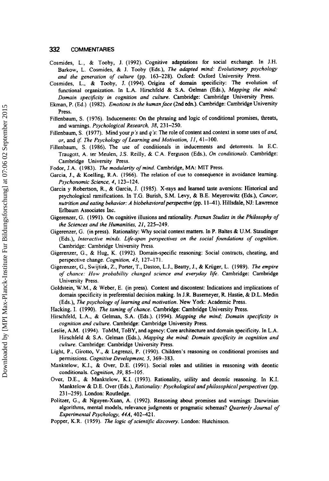#### **332 COMMENTARIES**

- Cosmides, **L.,** & Tooby, J. (1992). Cognitive adaptations for social exchange. In J.H. Barkow, L. Cosmides, & J. Tooby (Eds.), *The adapted mind: Evolutionary psychology*  and the generation of culture (pp. 163-228). Oxford: Oxford University Press.
- Cosmides, L., & Tooby, **J.** (1994). Origins of domain specificity: The evolution of functional organization. In L.A. Hirschfeld & S.A. Gelman **(Eds.).** *Mapping the mind: Domain specificity in cognition and culture.* Cambridge: Cambridge University Press.
- Ekman, P. (Ed.) (1982). *Emotions in the humanface* (2nd *cdn).* Cambridge: Cambridge University Press.
- Fillenbaum, S. (1976). Inducements: *On* the phrasing and logic of conditional promises, threats, and wamings. *Psychological Research,* 38,23 1-250.
- Fillenbaum, S. (1977). Mind your p's and q's: The role of content and context in some uses of and, *or,* and *if: The Psychology of Learning and Motivation, I I,* 41-100.
- Fillenbaum, S. (1986). The use of conditionals in inducements and deterrents. In E.C. Traugott, **A.** ter Meulen, **J.S.** Reilly, & **C.A.** Ferguson (Eds.), *On conditionals.* Cambridge: Cambridge University Press.
- Fodor, J.A. (1983). *The modularity of mind.* Cambridge, MA: MIT Press.
- Garcia, **J.,** & Koelling, **R.A.** (1966). The relation of cue to consequence in avoidance learning. *Psychonomic Science, 4,* 123-1 24.
- Garcia y Robertson, R., & Garcia, **J.** (1985). X-rays and learned taste aversions: Historical and psychological ramifications. In **T.G.** Burish, S.M. Levy, & B.E. Meyerowitz **(Eds.),** *Cancer, nutrition and eating behavior: A biobehavioral perspective* (pp. 11–41). Hillsdale, NJ: Lawrence Erlbaum Associates Inc.
- Gigerenzer, G. (1991). *On* cognitive illusions and rationality. *Poznan Studies in the Philosophy of the Sciences and the Humanities, 21,* 225-249.
- Gigerenzer, G. (in press). Rationality: Why social context matters. In P. Baltes & U.M. Staudinger **(Eds.),** *Interactive minds. Life-span perspectives on the social foundations of cognition.*  Cambridge: Cambridge University Press.
- Gigerenzer, G., & Hug, K. (1992). Domain-specific reasoning: Social contracts, cheating. and perspective change. *Cognition.* 43, 127-171.
- Gigerenzer, G., Swijtink, Z., Porter, T., Daston, L.J., Batty, **J.,** & Kriiger, **L.** (1989). *The empire of chance: How probability changed science and everyday lfe.* Cambridge: Cambridge University Press.
- Goldstein, W.M., & Weber, E. (in press). Content and discontent: Indications and implications of domain specificity in preferential decision making. In J.R. Busemeyer, R. Hastie, & D.L. Medin **(Eds.),** *The psycholow of learning and motivation.* New York: Academic Press.
- Hacking. I. (1990). *The taming of chance.* Cambridge: Cambridge University Press.
- Hirschfeld, **L.A.,** & Gelman, S.A. **(Eds.).** (1994). *Mapping the mind; Domain specificiv in cognition and culture.* Cambridge: Cambridge University Press.
- Leslie, A.M. (1994). ToMM, TOBY, and agency: Core architecture and domain specificity. In L.A. Hirschfeld & **S.A.** Gelman **(Eds.),** *Mapping the mind: Domain specificity in cognition and culture.* Cambridge: Cambridge University Press.
- Light, **P.,** Girotto, V., & Legrenzi, P. (1990). Children's reasoning on conditional promises and permissions. *Cognitive Development, 5.* 369-383.
- Manktelow, K.I., & Over, D.E. (1991). Social roles and utilities in reasoning with deontic conditionals. *Cognition.* 39, 85-105.
- Over, D.E., & Manktelow, K.I. (1993). Rationality, utility and deontic reasoning. In K.I. Manktelow & D.E. Over (Eds.), *Rationality: Psychological and philosophical perspectives* (pp. 23 1-259). London: Routledge.
- Politzer, G., & Nguyen-Xuan, A. (1992). Reasoning about promises and wamings: Darwinian algorithms, mental models, relevance judgments or pragmatic schemas? *Quarterly Journal of Experimental Psychology, 44A, 402-421.*
- Popper, K.R. (1959). *The logic of scientific discovery*. London: Hutchinson.